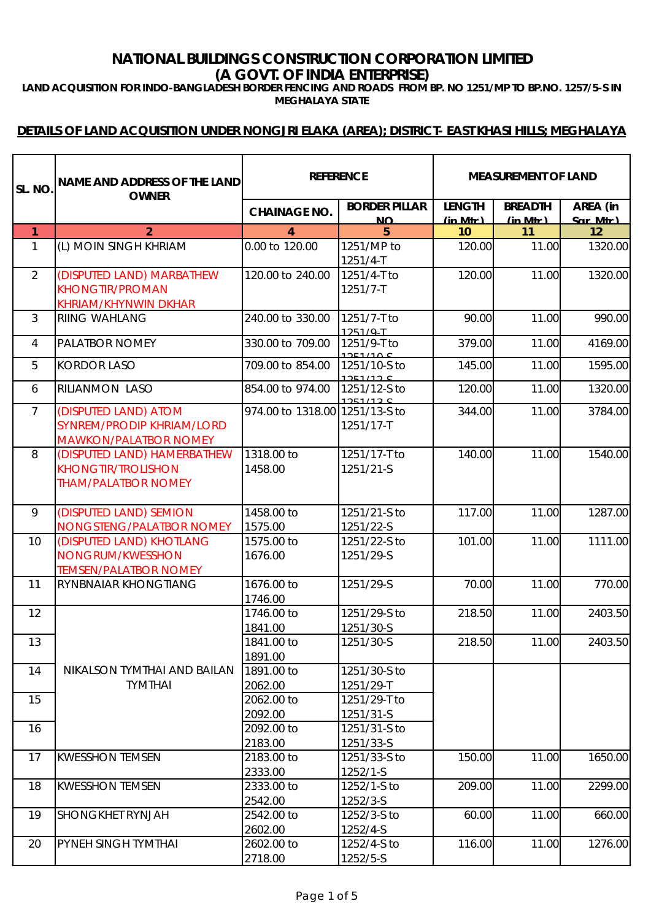# **NATIONAL BUILDINGS CONSTRUCTION CORPORATION LIMITED (A GOVT. OF INDIA ENTERPRISE)**

**LAND ACQUISITION FOR INDO-BANGLADESH BORDER FENCING AND ROADS FROM BP. NO 1251/MP TO BP.NO. 1257/5-S IN MEGHALAYA STATE**

| SL. NO         | <b>NAME AND ADDRESS OF THE LAND</b><br><b>OWNER</b>                                    |                                | <b>REFERENCE</b>                  |                           |                              | <b>MEASUREMENT OF LAND</b> |  |
|----------------|----------------------------------------------------------------------------------------|--------------------------------|-----------------------------------|---------------------------|------------------------------|----------------------------|--|
|                |                                                                                        | <b>CHAINAGE NO.</b>            | <b>BORDER PILLAR</b><br><b>NO</b> | <b>LENGTH</b><br>(in Mtr) | <b>BREADTH</b><br>$(in$ Mtr) | AREA (in<br>Sar Mtr)       |  |
| $\mathbf{1}$   | $\overline{2}$                                                                         | 4                              | 5                                 | 10                        | 11                           | 12                         |  |
| $\mathbf{1}$   | (L) MOIN SINGH KHRIAM                                                                  | 0.00 to 120.00                 | 1251/MP to<br>1251/4-T            | 120.00                    | 11.00                        | 1320.00                    |  |
| 2              | (DISPUTED LAND) MARBATHEW<br><b>KHONGTIR/PROMAN</b><br>KHRIAM/KHYNWIN DKHAR            | 120.00 to 240.00               | 1251/4-T to<br>1251/7-T           | 120.00                    | 11.00                        | 1320.00                    |  |
| $\mathfrak{Z}$ | <b>RIING WAHLANG</b>                                                                   | 240.00 to 330.00               | 1251/7-T to<br>1251/9-T           | 90.00                     | 11.00                        | 990.00                     |  |
| $\overline{4}$ | PALATBOR NOMEY                                                                         | 330.00 to 709.00               | 1251/9-T to<br>1251/100           | 379.00                    | 11.00                        | 4169.00                    |  |
| 5              | <b>KORDOR LASO</b>                                                                     | 709.00 to 854.00               | 1251/10-S to<br>1251/12C          | 145.00                    | 11.00                        | 1595.00                    |  |
| 6              | RILIANMON LASO                                                                         | 854.00 to 974.00               | 1251/12-S to<br>1251/12 C         | 120.00                    | 11.00                        | 1320.00                    |  |
| $\overline{7}$ | (DISPUTED LAND) ATOM<br>SYNREM/PRODIP KHRIAM/LORD<br><b>MAWKON/PALATBOR NOMEY</b>      | 974.00 to 1318.00 1251/13-S to | 1251/17-T                         | 344.00                    | 11.00                        | 3784.00                    |  |
| 8              | (DISPUTED LAND) HAMERBATHEW<br><b>KHONGTIR/TROLISHON</b><br><b>THAM/PALATBOR NOMEY</b> | 1318.00 to<br>1458.00          | 1251/17-T to<br>1251/21-S         | 140.00                    | 11.00                        | 1540.00                    |  |
| 9              | (DISPUTED LAND) SEMION<br>NONGSTENG/PALATBOR NOMEY                                     | 1458.00 to<br>1575.00          | 1251/21-S to<br>1251/22-S         | 117.00                    | 11.00                        | 1287.00                    |  |
| 10             | (DISPUTED LAND) KHOTLANG<br>NONGRUM/KWESSHON<br><b>TEMSEN/PALATBOR NOMEY</b>           | 1575.00 to<br>1676.00          | 1251/22-S to<br>1251/29-S         | 101.00                    | 11.00                        | 1111.00                    |  |
| 11             | RYNBNAIAR KHONGTIANG                                                                   | 1676.00 to<br>1746.00          | 1251/29-S                         | 70.00                     | 11.00                        | 770.00                     |  |
| 12             |                                                                                        | 1746.00 to<br>1841.00          | 1251/29-S to<br>1251/30-S         | 218.50                    | 11.00                        | 2403.50                    |  |
| 13             |                                                                                        | 1841.00 to<br>1891.00          | 1251/30-S                         | 218.50                    | 11.00                        | 2403.50                    |  |
| 14             | NIKALSON TYMTHAI AND BAILAN<br><b>TYMTHAI</b>                                          | 1891.00 to<br>2062.00          | 1251/30-S to<br>1251/29-T         |                           |                              |                            |  |
| 15             |                                                                                        | 2062.00 to<br>2092.00          | 1251/29-T to<br>1251/31-S         |                           |                              |                            |  |
| 16             |                                                                                        | 2092.00 to<br>2183.00          | 1251/31-S to<br>1251/33-S         |                           |                              |                            |  |
| 17             | <b>KWESSHON TEMSEN</b>                                                                 | 2183.00 to<br>2333.00          | 1251/33-S to<br>1252/1-S          | 150.00                    | 11.00                        | 1650.00                    |  |
| 18             | <b>KWESSHON TEMSEN</b>                                                                 | 2333.00 to<br>2542.00          | 1252/1-S to<br>1252/3-S           | 209.00                    | 11.00                        | 2299.00                    |  |
| 19             | SHONGKHET RYNJAH                                                                       | 2542.00 to<br>2602.00          | 1252/3-S to<br>1252/4-S           | 60.00                     | 11.00                        | 660.00                     |  |
| 20             | PYNEH SINGH TYMTHAI                                                                    | 2602.00 to<br>2718.00          | 1252/4-S to<br>1252/5-S           | 116.00                    | 11.00                        | 1276.00                    |  |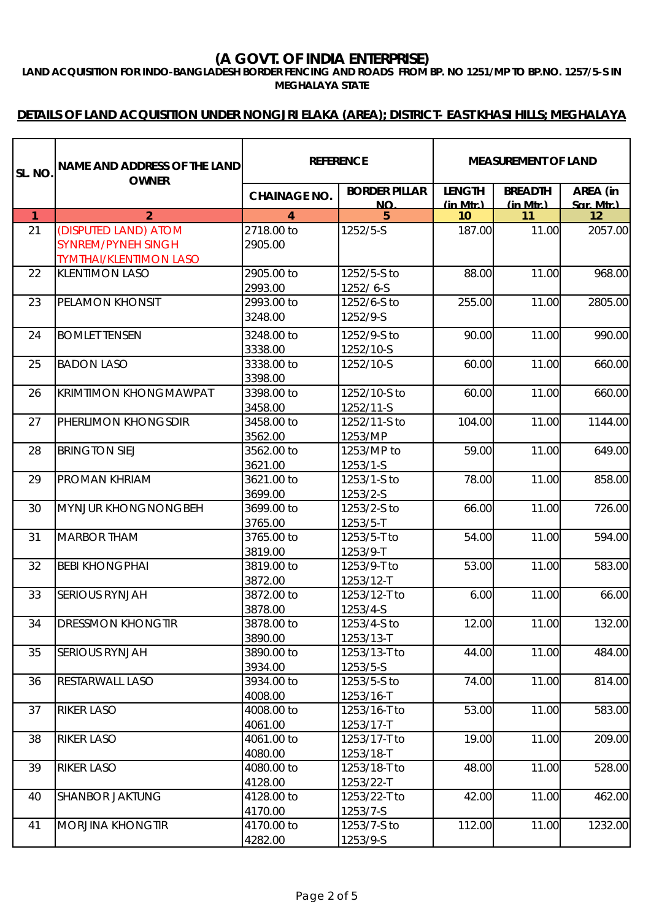**LAND ACQUISITION FOR INDO-BANGLADESH BORDER FENCING AND ROADS FROM BP. NO 1251/MP TO BP.NO. 1257/5-S IN MEGHALAYA STATE**

| <b>SL. NO</b>  | NAME AND ADDRESS OF THE LAND<br><b>OWNER</b>                                       | <b>REFERENCE</b>      |                                   | <b>MEASUREMENT OF LAND</b> |                            |                      |
|----------------|------------------------------------------------------------------------------------|-----------------------|-----------------------------------|----------------------------|----------------------------|----------------------|
|                |                                                                                    | <b>CHAINAGE NO.</b>   | <b>BORDER PILLAR</b><br><b>NO</b> | <b>LENGTH</b><br>(in Mtr)  | <b>BREADTH</b><br>(in Mtr) | AREA (in<br>Sar Mtr) |
| $\overline{1}$ | $\overline{2}$                                                                     | 4                     | 5                                 | 10                         | 11                         | 12                   |
| 21             | (DISPUTED LAND) ATOM<br><b>SYNREM/PYNEH SINGH</b><br><b>TYMTHAI/KLENTIMON LASO</b> | 2718.00 to<br>2905.00 | 1252/5-S                          | 187.00                     | 11.00                      | 2057.00              |
| 22             | <b>KLENTIMON LASO</b>                                                              | 2905.00 to<br>2993.00 | 1252/5-S to<br>1252/6-S           | 88.00                      | 11.00                      | 968.00               |
| 23             | PELAMON KHONSIT                                                                    | 2993.00 to<br>3248.00 | 1252/6-S to<br>1252/9-S           | 255.00                     | 11.00                      | 2805.00              |
| 24             | <b>BOMLET TENSEN</b>                                                               | 3248.00 to<br>3338.00 | 1252/9-S to<br>1252/10-S          | 90.00                      | 11.00                      | 990.00               |
| 25             | <b>BADON LASO</b>                                                                  | 3338.00 to<br>3398.00 | 1252/10-S                         | 60.00                      | 11.00                      | 660.00               |
| 26             | <b>KRIMTIMON KHONGMAWPAT</b>                                                       | 3398.00 to<br>3458.00 | 1252/10-S to<br>1252/11-S         | 60.00                      | 11.00                      | 660.00               |
| 27             | PHERLIMON KHONGSDIR                                                                | 3458.00 to<br>3562.00 | 1252/11-S to<br>1253/MP           | 104.00                     | 11.00                      | 1144.00              |
| 28             | <b>BRINGTON SIEJ</b>                                                               | 3562.00 to<br>3621.00 | 1253/MP to<br>1253/1-S            | 59.00                      | 11.00                      | 649.00               |
| 29             | <b>PROMAN KHRIAM</b>                                                               | 3621.00 to<br>3699.00 | 1253/1-S to<br>1253/2-S           | 78.00                      | 11.00                      | 858.00               |
| 30             | <b>MYNJUR KHONGNONGBEH</b>                                                         | 3699.00 to<br>3765.00 | 1253/2-S to<br>1253/5-T           | 66.00                      | 11.00                      | 726.00               |
| 31             | <b>MARBOR THAM</b>                                                                 | 3765.00 to<br>3819.00 | 1253/5-T to<br>1253/9-T           | 54.00                      | 11.00                      | 594.00               |
| 32             | <b>BEBI KHONGPHAI</b>                                                              | 3819.00 to<br>3872.00 | 1253/9-T to<br>1253/12-T          | 53.00                      | 11.00                      | 583.00               |
| 33             | <b>SERIOUS RYNJAH</b>                                                              | 3872.00 to<br>3878.00 | 1253/12-T to<br>1253/4-S          | 6.00                       | 11.00                      | 66.00                |
| 34             | <b>DRESSMON KHONGTIR</b>                                                           | 3878.00 to<br>3890.00 | 1253/4-S to<br>1253/13-T          | 12.00                      | 11.00                      | 132.00               |
| 35             | <b>SERIOUS RYNJAH</b>                                                              | 3890.00 to<br>3934.00 | 1253/13-T to<br>1253/5-S          | 44.00                      | 11.00                      | 484.00               |
| 36             | RESTARWALL LASO                                                                    | 3934.00 to<br>4008.00 | 1253/5-S to<br>1253/16-T          | 74.00                      | 11.00                      | 814.00               |
| 37             | <b>RIKER LASO</b>                                                                  | 4008.00 to<br>4061.00 | 1253/16-T to<br>1253/17-T         | 53.00                      | 11.00                      | 583.00               |
| 38             | <b>RIKER LASO</b>                                                                  | 4061.00 to<br>4080.00 | 1253/17-T to<br>1253/18-T         | 19.00                      | 11.00                      | 209.00               |
| 39             | <b>RIKER LASO</b>                                                                  | 4080.00 to<br>4128.00 | 1253/18-T to<br>1253/22-T         | 48.00                      | 11.00                      | 528.00               |
| 40             | <b>SHANBOR JAKTUNG</b>                                                             | 4128.00 to<br>4170.00 | 1253/22-T to<br>1253/7-S          | 42.00                      | 11.00                      | 462.00               |
| 41             | <b>MORJINA KHONGTIR</b>                                                            | 4170.00 to<br>4282.00 | 1253/7-S to<br>1253/9-S           | 112.00                     | 11.00                      | 1232.00              |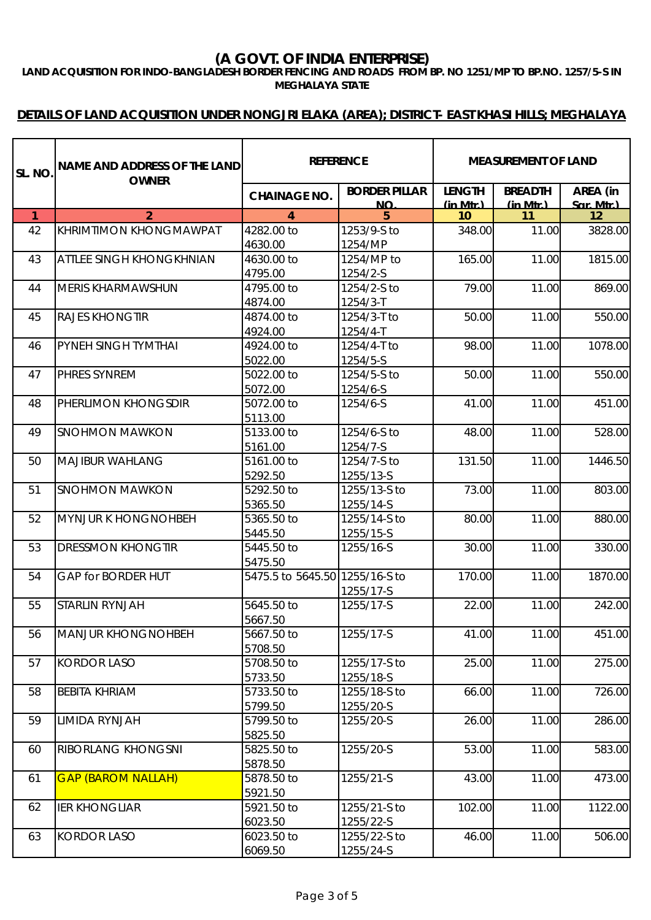**LAND ACQUISITION FOR INDO-BANGLADESH BORDER FENCING AND ROADS FROM BP. NO 1251/MP TO BP.NO. 1257/5-S IN MEGHALAYA STATE**

| Isl. No      | NAME AND ADDRESS OF THE LAND<br><b>OWNER</b> | <b>REFERENCE</b>               |                            | <b>MEASUREMENT OF LAND</b>  |                                 |                      |
|--------------|----------------------------------------------|--------------------------------|----------------------------|-----------------------------|---------------------------------|----------------------|
|              |                                              | <b>CHAINAGE NO.</b>            | <b>BORDER PILLAR</b><br>NΩ | <b>LENGTH</b><br>$(in$ Mtr) | <b>BREADTH</b><br>$(in$ Mtr $)$ | AREA (in<br>Sar Mtr) |
| $\mathbf{1}$ | $\overline{2}$                               | 4                              | 5                          | 10                          | 11                              | 12                   |
| 42           | <b>KHRIMTIMON KHONGMAWPAT</b>                | 4282.00 to                     | 1253/9-S to                | 348.00                      | 11.00                           | 3828.00              |
|              |                                              | 4630.00                        | 1254/MP                    |                             |                                 |                      |
| 43           | <b>ATTLEE SINGH KHONGKHNIAN</b>              | 4630.00 to                     | 1254/MP to                 | 165.00                      | 11.00                           | 1815.00              |
|              |                                              | 4795.00                        | 1254/2-S                   |                             |                                 |                      |
| 44           | <b>MERIS KHARMAWSHUN</b>                     | 4795.00 to                     | 1254/2-S to                | 79.00                       | 11.00                           | 869.00               |
|              |                                              | 4874.00                        | $1254/3 - T$               |                             |                                 |                      |
| 45           | <b>RAJES KHONGTIR</b>                        | 4874.00 to                     | 1254/3-T to                | 50.00                       | 11.00                           | 550.00               |
|              |                                              | 4924.00                        | 1254/4-T                   |                             |                                 |                      |
| 46           | <b>PYNEH SINGH TYMTHAI</b>                   | 4924.00 to                     | 1254/4-T to                | 98.00                       | 11.00                           | 1078.00              |
|              |                                              | 5022.00                        | 1254/5-S                   |                             |                                 |                      |
| 47           | PHRES SYNREM                                 | 5022.00 to                     | 1254/5-S to                | 50.00                       | 11.00                           | 550.00               |
|              |                                              | 5072.00                        | 1254/6-S                   |                             |                                 |                      |
| 48           | PHERLIMON KHONGSDIR                          | 5072.00 to                     | 1254/6-S                   | 41.00                       | 11.00                           | 451.00               |
|              |                                              | 5113.00                        |                            |                             |                                 |                      |
| 49           | <b>SNOHMON MAWKON</b>                        | 5133.00 to                     | 1254/6-S to                | 48.00                       | 11.00                           | 528.00               |
|              |                                              | 5161.00                        | 1254/7-S                   |                             |                                 |                      |
| 50           | <b>MAJIBUR WAHLANG</b>                       | 5161.00 to                     | 1254/7-S to                | 131.50                      | 11.00                           | 1446.50              |
|              |                                              | 5292.50                        | 1255/13-S                  |                             |                                 |                      |
| 51           | <b>SNOHMON MAWKON</b>                        | 5292.50 to                     | 1255/13-S to               | 73.00                       | 11.00                           | 803.00               |
|              |                                              | 5365.50                        | 1255/14-S                  |                             |                                 |                      |
| 52           | <b>MYNJUR K HONGNOHBEH</b>                   | 5365.50 to                     | 1255/14-S to               | 80.00                       | 11.00                           | 880.00               |
|              |                                              | 5445.50                        | 1255/15-S                  |                             |                                 |                      |
| 53           | <b>DRESSMON KHONGTIR</b>                     | 5445.50 to                     | 1255/16-S                  | 30.00                       | 11.00                           | 330.00               |
|              |                                              | 5475.50                        |                            |                             |                                 |                      |
| 54           | <b>GAP for BORDER HUT</b>                    | 5475.5 to 5645.50 1255/16-S to |                            | 170.00                      | 11.00                           | 1870.00              |
|              |                                              |                                | 1255/17-S                  |                             |                                 |                      |
| 55           | <b>STARLIN RYNJAH</b>                        | 5645.50 to                     | 1255/17-S                  | 22.00                       | 11.00                           | 242.00               |
|              |                                              | 5667.50                        |                            |                             |                                 |                      |
| 56           | <b>MANJUR KHONGNOHBEH</b>                    | 5667.50 to                     | 1255/17-S                  | 41.00                       | 11.00                           | 451.00               |
|              |                                              | 5708.50                        |                            |                             |                                 |                      |
| 57           | <b>KORDOR LASO</b>                           | 5708.50 to<br>5733.50          | 1255/17-S to               | 25.00                       | 11.00                           | 275.00               |
| 58           | <b>BEBITA KHRIAM</b>                         | 5733.50 to                     | 1255/18-S<br>1255/18-S to  | 66.00                       | 11.00                           | 726.00               |
|              |                                              | 5799.50                        | 1255/20-S                  |                             |                                 |                      |
| 59           | LIMIDA RYNJAH                                | 5799.50 to                     | 1255/20-S                  | 26.00                       | 11.00                           | 286.00               |
|              |                                              | 5825.50                        |                            |                             |                                 |                      |
| 60           | RIBORLANG KHONGSNI                           | 5825.50 to                     | 1255/20-S                  | 53.00                       | 11.00                           | 583.00               |
|              |                                              | 5878.50                        |                            |                             |                                 |                      |
| 61           | <b>GAP (BAROM NALLAH)</b>                    | 5878.50 to                     | 1255/21-S                  | 43.00                       | 11.00                           | 473.00               |
|              |                                              | 5921.50                        |                            |                             |                                 |                      |
| 62           | <b>IER KHONGLIAR</b>                         | 5921.50 to                     | 1255/21-S to               | 102.00                      | 11.00                           | 1122.00              |
|              |                                              | 6023.50                        | 1255/22-S                  |                             |                                 |                      |
| 63           | <b>KORDOR LASO</b>                           | 6023.50 to                     | 1255/22-S to               | 46.00                       | 11.00                           | 506.00               |
|              |                                              | 6069.50                        | 1255/24-S                  |                             |                                 |                      |
|              |                                              |                                |                            |                             |                                 |                      |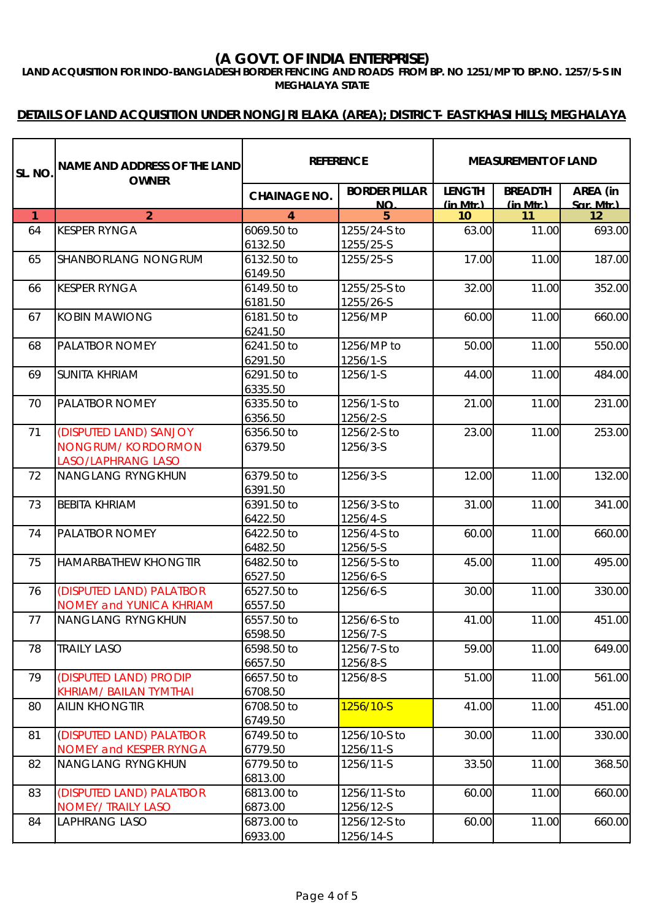**LAND ACQUISITION FOR INDO-BANGLADESH BORDER FENCING AND ROADS FROM BP. NO 1251/MP TO BP.NO. 1257/5-S IN MEGHALAYA STATE**

| SL. NO.        | <b>NAME AND ADDRESS OF THE LAND</b><br><b>OWNER</b> | <b>REFERENCE</b>      |                            | <b>MEASUREMENT OF LAND</b>     |                            |                      |
|----------------|-----------------------------------------------------|-----------------------|----------------------------|--------------------------------|----------------------------|----------------------|
|                |                                                     | <b>CHAINAGE NO.</b>   | <b>BORDER PILLAR</b><br>NΩ | <b>LENGTH</b><br>$(in$ Mtr $)$ | <b>BREADTH</b><br>(in Mtr) | AREA (in<br>Sar Mtr) |
| $\overline{1}$ | $\overline{2}$                                      | 4                     | 5                          | 10                             | 11                         | 12                   |
| 64             | <b>KESPER RYNGA</b>                                 | 6069.50 to            | 1255/24-S to               | 63.00                          | 11.00                      | 693.00               |
|                |                                                     | 6132.50               | 1255/25-S                  |                                |                            |                      |
| 65             | SHANBORLANG NONGRUM                                 | 6132.50 to            | 1255/25-S                  | 17.00                          | 11.00                      | 187.00               |
|                |                                                     | 6149.50               |                            |                                |                            |                      |
| 66             | <b>KESPER RYNGA</b>                                 | 6149.50 to            | 1255/25-S to               | 32.00                          | 11.00                      | 352.00               |
|                |                                                     | 6181.50               | 1255/26-S                  |                                |                            |                      |
| 67             | <b>KOBIN MAWIONG</b>                                | 6181.50 to            | 1256/MP                    | 60.00                          | 11.00                      | 660.00               |
|                |                                                     | 6241.50               |                            |                                |                            |                      |
| 68             | <b>PALATBOR NOMEY</b>                               | 6241.50 to            | 1256/MP to                 | 50.00                          | 11.00                      | 550.00               |
|                |                                                     | 6291.50               | 1256/1-S                   |                                |                            |                      |
| 69             | <b>SUNITA KHRIAM</b>                                | 6291.50 to            | 1256/1-S                   | 44.00                          | 11.00                      | 484.00               |
|                |                                                     | 6335.50               |                            |                                |                            |                      |
| 70             | PALATBOR NOMEY                                      | 6335.50 to            | 1256/1-S to                | 21.00                          | 11.00                      | 231.00               |
|                |                                                     | 6356.50               | 1256/2-S                   |                                |                            |                      |
| 71             | (DISPUTED LAND) SANJOY                              | 6356.50 to            | 1256/2-S to                | 23.00                          | 11.00                      | 253.00               |
|                | <b>NONGRUM/KORDORMON</b>                            | 6379.50               | 1256/3-S                   |                                |                            |                      |
|                | <b>LASO/LAPHRANG LASO</b>                           |                       |                            |                                |                            |                      |
| 72             | <b>NANGLANG RYNGKHUN</b>                            | 6379.50 to            | 1256/3-S                   | 12.00                          | 11.00                      | 132.00               |
|                |                                                     | 6391.50               |                            |                                |                            |                      |
| 73             | <b>BEBITA KHRIAM</b>                                | 6391.50 to            | 1256/3-S to                | 31.00                          | 11.00                      | 341.00               |
|                |                                                     | 6422.50               | 1256/4-S                   |                                |                            |                      |
| 74             | <b>PALATBOR NOMEY</b>                               | 6422.50 to            | 1256/4-S to                | 60.00                          | 11.00                      | 660.00               |
|                |                                                     | 6482.50               | 1256/5-S                   |                                |                            |                      |
| 75             | <b>HAMARBATHEW KHONGTIR</b>                         | 6482.50 to            | 1256/5-S to                | 45.00                          | 11.00                      | 495.00               |
|                |                                                     | 6527.50               | 1256/6-S                   |                                |                            |                      |
| 76             | (DISPUTED LAND) PALATBOR                            | 6527.50 to            | 1256/6-S                   | 30.00                          | 11.00                      | 330.00               |
|                | <b>NOMEY and YUNICA KHRIAM</b>                      | 6557.50               |                            |                                |                            |                      |
| 77             | <b>NANGLANG RYNGKHUN</b>                            | 6557.50 to            | 1256/6-S to                | 41.00                          | 11.00                      | 451.00               |
|                |                                                     | 6598.50               | 1256/7-S                   |                                |                            |                      |
| 78             | <b>TRAILY LASO</b>                                  | 6598.50 to            | 1256/7-S to                | 59.00                          | 11.00                      | 649.00               |
|                |                                                     | 6657.50               | 1256/8-S                   |                                |                            |                      |
| 79             | (DISPUTED LAND) PRODIP                              | 6657.50 to            | 1256/8-S                   | 51.00                          | 11.00                      | 561.00               |
|                | KHRIAM/ BAILAN TYMTHAI                              | 6708.50               |                            |                                |                            |                      |
| 80             | <b>AILIN KHONGTIR</b>                               | 6708.50 to            | 1256/10-S                  | 41.00                          | 11.00                      | 451.00               |
| 81             | (DISPUTED LAND) PALATBOR                            | 6749.50<br>6749.50 to | 1256/10-S to               | 30.00                          | 11.00                      | 330.00               |
|                | <b>NOMEY and KESPER RYNGA</b>                       | 6779.50               | 1256/11-S                  |                                |                            |                      |
| 82             | <b>NANGLANG RYNGKHUN</b>                            | 6779.50 to            | 1256/11-S                  | 33.50                          | 11.00                      | 368.50               |
|                |                                                     | 6813.00               |                            |                                |                            |                      |
| 83             | (DISPUTED LAND) PALATBOR                            | 6813.00 to            | 1256/11-S to               | 60.00                          | 11.00                      | 660.00               |
|                | NOMEY/ TRAILY LASO                                  | 6873.00               | 1256/12-S                  |                                |                            |                      |
| 84             | <b>LAPHRANG LASO</b>                                | 6873.00 to            | 1256/12-S to               | 60.00                          | 11.00                      | 660.00               |
|                |                                                     | 6933.00               | 1256/14-S                  |                                |                            |                      |
|                |                                                     |                       |                            |                                |                            |                      |